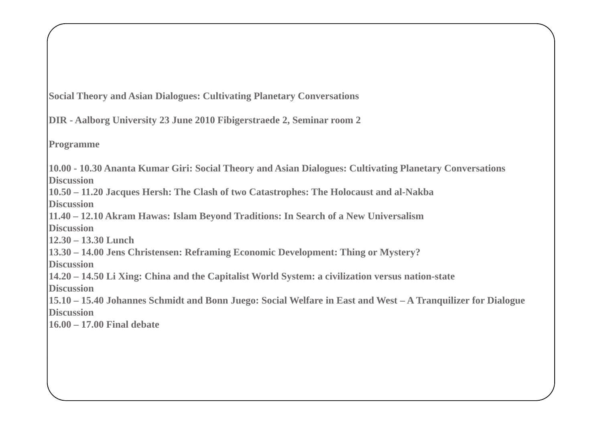**Social Theory and Asian Dialogues: Cultivating Planetary Conversations**

**DIR - Aalborg University 23 June 2010 Fibigerstraede 2, Seminar room 2**

**Programme**

**10.00 - 10.30 Ananta Kumar Giri: Social Theory and Asian Dialogues: Cultivating Planetary Conversations Discussion**

**10.50 – 11.20 Jacques Hersh: The Clash of two Catastrophes: The Holocaust and al-Nakba Discussion**

**11.40 – 12.10 Akram Hawas: Islam Beyond Traditions: In Search of a New Universalism Discussion**

**12.30 – 13.30 Lunch** 

**13.30 – 14.00 Jens Christensen: Reframing Economic Development: Thing or Mystery?** 

**Di i scuss on**

**14.20 – 14.50 Li Xing: China and the Capitalist World System: a civilization versus nation-state**

**Discussion**

**15.10 – 15.40 Johannes Schmidt and Bonn Juego: Social Welfare in East and West – A Tranquilizer for Dialogue Discussion** 

**16.00 – 17.00 Final debate**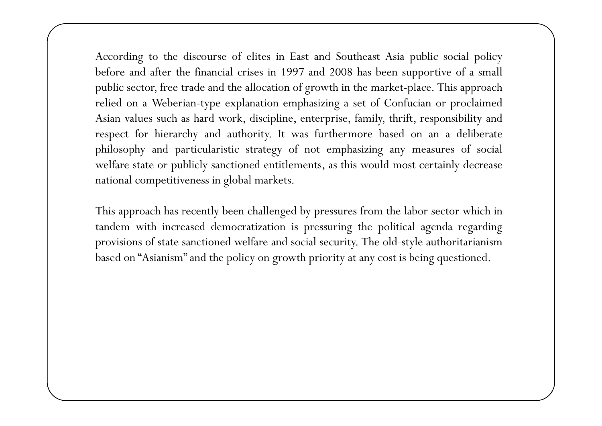According to the discourse of elites in East and Southeast Asia public social policy before and after the financial crises in 1997 and 2008 has been supportive of a small public sector, free trade and the allocation of growth in the market-place. This approac<sup>h</sup> relied on <sup>a</sup> Weberian-type explanation emphasizing <sup>a</sup> set of Confucian or proclaimed Asian values such as hard work, discipline, enterprise, family, thrift, responsibility and respec<sup>t</sup> for hierarchy and authority. It was furthermore based on an <sup>a</sup> deliberate <sup>p</sup>hilosophy and particularistic strategy of not emphasizing any measures of social welfare state or publicly sanctioned entitlements, as this would most certainly decrease national competitiveness in global markets.

This approac<sup>h</sup> has recently been challenged by pressures from the labor sector which in tandem with increased democratization is pressuring the political agenda regarding provisions of state sanctioned welfare and social security. The old-style authoritarianism based on "Asianism" and the policy on growth priority at any cost is being questioned.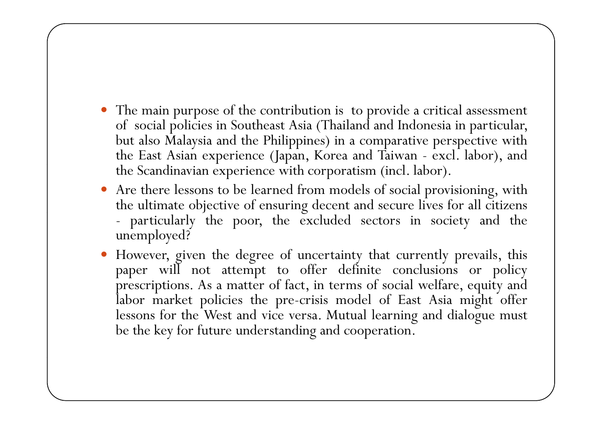- The main purpose of the contribution is to provide a critical assessment of social policies in Southeast Asia (Thailand and Indonesia in particular, but also Malaysia and the Philippines) in <sup>a</sup> comparative perspective with the Eas t Asian experience (Japan, Korea and Taiwan - excl. labor), and the Scandinavian experience with corporatism (incl. labor).
- Are there lessons to be learned from models of social provisioning, with the ultimate objective of ensurin g decen t and secure lives for all citizens particularly the poor, the excluded sectors in society and the unemployed?
- However, given the degree of uncertainty that currently prevails, this paper will not attempt to offer definite conclusions or policy prescriptions. As <sup>a</sup> matter of fact, in terms of social welfare, equity and labor marke t policies the pre-crisis model of Eas t Asia migh t offer lessons for the Wes t and vice versa. Mutual learning and dialogue mus t be the key for future understanding and cooperation.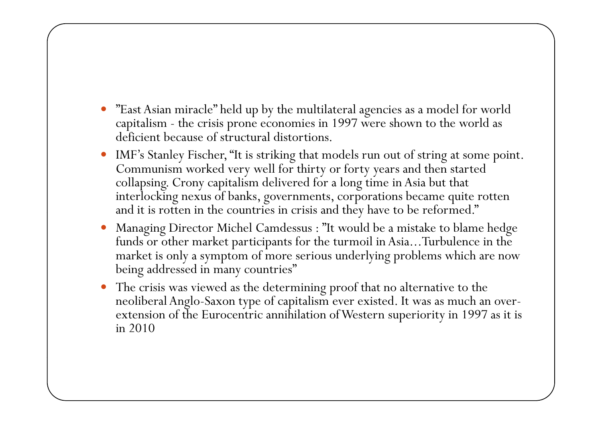- $\bullet$ • "East Asian miracle" held up by the multilateral agencies as a model for world capitalism - the crisis prone economies in 1997 were shown to the world as deficient because of structural distortions.
- $\bullet$  IMF's Stanley Fischer, "It is striking that models run out of string at some point. Communism worked very well for thirty or forty years and then started collapsing. Crony capitalism delivered for a long time in Asia but that interlocking nexus of banks, governments, corporations became quite rotten and it is rotten in the countries in crisis and they have to be reformed."
- $\bullet$  Managing Director Michel Camdessus : "It would be a mistake to blame hedge funds or other market participants for the turmoil in Asia...Turbulence in the market is only a symptom of more serious underlying problems which are now being addressed in many countries"
- $\bullet$  The crisis was viewed as the determining proof that no alternative to the neoliberal Anglo-Saxon type of capitalism ever existed. It was as much an overextension of the Eurocentric annihilation of Western superiority in 1997 as it is in 2010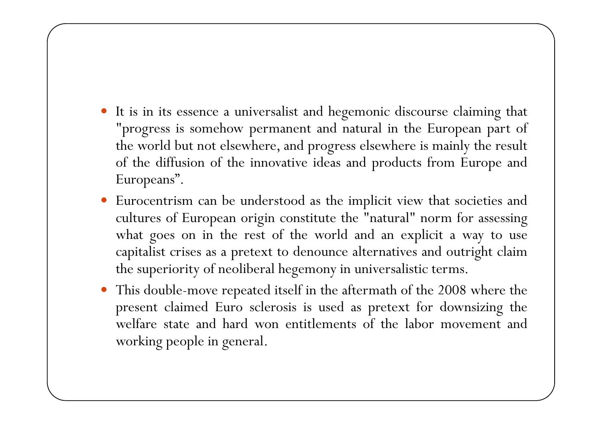- It is in its essence a universalist and hegemonic discourse claiming that "progress is somehow permanen<sup>t</sup> and natural in the European par<sup>t</sup> of the world but not elsewhere, and progress elsewhere is mainly the result of the diffusion of the innovative ideas and products from Europe and Europeans".
- Eurocentrism can be understood as the implicit view that societies and cultures of European origin constitute the "natural" norm for assessing what goes on in the rest of the world and an explicit <sup>a</sup> way to use capitalis t crises as <sup>a</sup> pretex t to denounce alternatives and outrigh t claim the superiority of neoliberal hegemony in universalistic terms.
- 0 This double-move repeated itself in the aftermath of the <sup>2008</sup> where the presen<sup>t</sup> claimed Euro sclerosis is used as pretext for downsizing the welfare state and hard won entitlements of the labor movement and working people in general.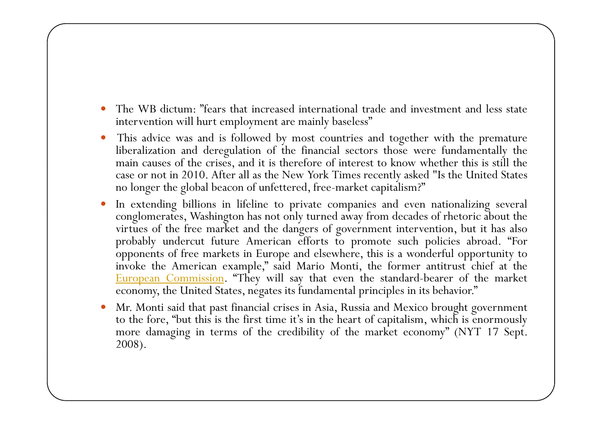- $\bullet$ • The WB dictum: "fears that increased international trade and investment and less state intervention will hurt employment are mainly baseless"
- $\bullet$  This advice was and is followed by most countries and together with the premature liberalization and deregulation of the financial sectors those were fundamentally the main causes of the crises, and it is therefore of interest to know whether this is still the case or not in 2010. After all as the New York Times recently asked "Is the United States no longer the global beacon of unfettered, free-market capitalism?"
- $\bullet$  In extending billions in lifeline to private companies and even nationalizing several conglomerates, Washington has not only turned away from decades of rhetoric about the virtues of the free market and the dangers of governmen<sup>t</sup> intervention, but it has also probably undercut future American efforts to promote such policies abroad. "For opponents <sup>o</sup> f free markets in Europe and elsewhere, this is <sup>a</sup> wonderful opportunity to invoke the American example," said Mario Monti, the former antitrust chief at the European Commission. "They will say that even the standard-bearer of the market economy, the United States, negates its fundamental principles in its behavior."
- O Mr. Monti said that pas<sup>t</sup> financial crises in Asia, Russia and Mexico brought governmen<sup>t</sup> to the fore, "but this is the first time it's in the heart of capitalism, which is enormously more damaging in terms of the credibility of the market economy" (NYT <sup>17</sup> Sept. 2008).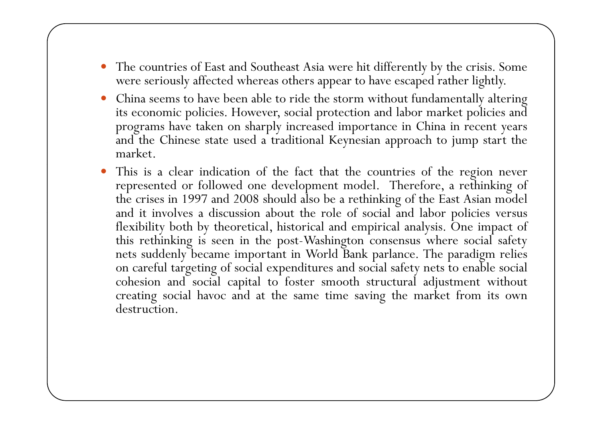- The countries of East and Southeast Asia were hit differently by the crisis. Some were seriously affected whereas others appear to have escape<sup>d</sup> rather lightly.
- $\bullet$  China seems to have been able to ride the storm without fundamentally altering its economic policies. However, social protection and labor market policies and programs have taken on sharply increased importance in China in recent years and the Chinese state used <sup>a</sup> traditional Keynesian approac<sup>h</sup> to jump start the market.
- $\bullet$  This is <sup>a</sup> clear indication <sup>o</sup> f the fact that the countries <sup>o</sup> f the region never represented or followed one development model. Therefore, <sup>a</sup> rethinking of the crises in <sup>1997</sup> and <sup>2008</sup> should also be <sup>a</sup> rethinking of the East Asian model and it involves a discussion about the role of social and labor policies versus flexibility both by theoretical, historical and empirical analysis. One impact of this rethinking is seen in the post-Washington consensus where social safety nets suddenly became important in World Bank parlance. The paradigm relies on careful targeting <sup>o</sup> f social expenditures and social safety nets to enable social cohesion and social capital to foster smooth structural adjustment without creating social havoc and at the same time saving the market from its own destruction.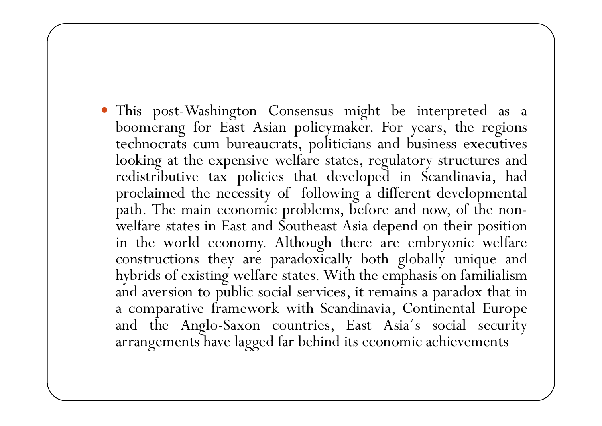This post-Washin gton Consensus mi ght be inter preted as <sup>a</sup> boomerang for East Asian policymaker. For years, the regions technocrats cum bureaucrats, politicians and business executives looking at the expensive welfare states, regulatory structures and redistributive tax policies that developed in Scandinavia, had proclaimed the necessity of following <sup>a</sup> different developmental path. The main economic problems, before and now, of the non welfare states in East and Southeast Asia depend on their position in the world economy. Although there are embryonic welfare constructions they are paradoxically both globally unique and hybrids of existing welfare states. With the emphasis on familialism and aversion to public social services, it remains <sup>a</sup> paradox that in a comparative framework with Scandinavia, Continental Europe and the Anglo-Saxon countries, East Asia´s social security arrangements have lagged far behind its economic achievements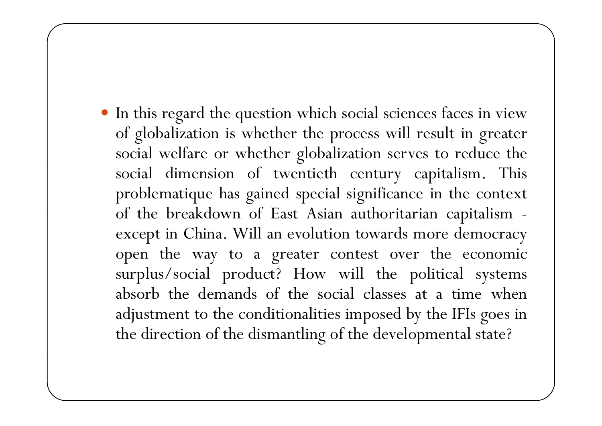In this regar<sup>d</sup> the question which social sciences faces in view of globalization is whether the process will result in greater social welfare or whether globalization serves to reduce the social dimension <sup>o</sup> f twentieth century capitalism. This problematique has gained special significance in the context of the breakdown of East Asian authoritarian capitalism excep<sup>t</sup> in China. Will an evolution towards more democracy o pen the way to <sup>a</sup> greater contest over the economic surplus/social product? How will the political systems absorb the demands of the social classes at <sup>a</sup> time when adjustment to the conditionalities imposed by the IFIs goes in the direction of the dismantling of the developmental state?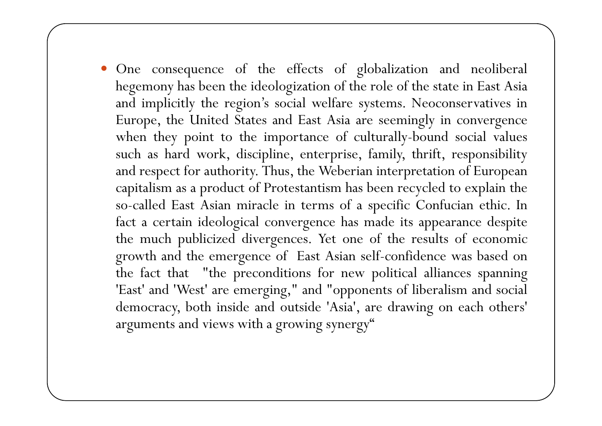One consequence of the effects of globalization and neoliberal hegemony has been the ideologization of the role of the state in East Asia and implicitly the region's social welfare systems. Neoconservatives in Europe, the United States and East Asia are seemingly in convergence when they point to the importance of culturally-bound social values such as hard work, discipline, enterprise, family, thrift, responsibility and respec t for authority. Thus, the Weberian interpretation of European capitalism as <sup>a</sup> product of Protestantism has been recycled to explain the so-called Eas t Asian miracle in terms of <sup>a</sup> <sup>s</sup> pecific Confucian ethic. In fact <sup>a</sup> certain ideological convergence has made its appearance despite the much publicized divergences. Yet one of the results of economic growth and the emer gence of Eas t Asian self-confidence was based on the fact that "the preconditions for new political alliances spanning 'East' and 'West' are emerging," and "opponents of liberalism and social democracy, both inside and outside 'Asia', are drawing on each others' arguments and views with <sup>a</sup> growing synergy"